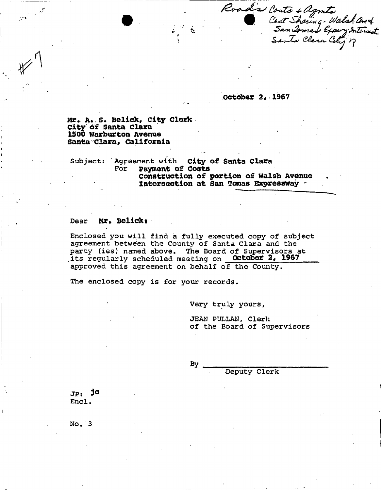Road's Conts + Agents<br>Cost Sharing - Walsh and<br>San Iomad Expery Internet

**October 2, 1967** 

### **Mr. A.,S. Bolide, city Clerk**  City of Santa Clara **1500 Warburton Avenue**  Santa Clara, California

**Subject: 'Agreement with City of Santa Clara For Payment of Costs construction of portion of Walsh Avenue intersection at San Tomas Expressway -**

#### Dear Mr. Belick:

**Enclosed you will find a fully executed copy of subject agreement between the County of Santa Clara and the party (ies) named above. The Board of Supervisors at**  its regularly scheduled meeting on **October 2, 1967 approved this agreement on behalf of the County.** 

**The enclosed copy is for your records.** 

**Very truly yours,** 

**JEAN PULLAN, Clerk of the Board of Supervisors** 

**By** 

**Deputy Clerk** 

**JP: j\* End .** 

**No. 3**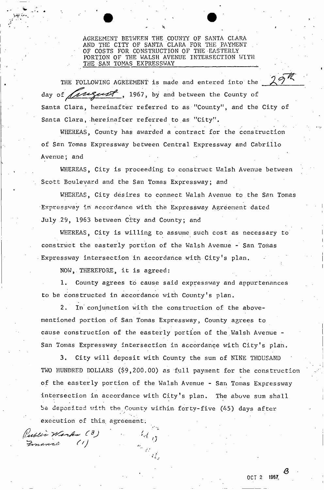AGREEMENT BETWEEN THE COUNTY OF SANTA CIARA AND THE CITY OF SANTA CLARA FOR THE PAYMENT OF COSTS FOR CONSTRUCTION OF THE EASTERLY PORTION OF THE WALSH AVENUE INTERSECTION WITH THE SAN TOMAS EXPRESSWAY

Santa Clara, hereinafter referred to as "County", and the City of Santa Clara, hereinafter referred to as "City". THE FOLLOWING AGREEMENT is made and entered into the  $29$ day of  $\sqrt{12\epsilon\epsilon}$ , 1967, by and between the County of

WHEREAS, County has awarded a contract for the construction of San Tomas Expressway between Central Expressway and Cabrillo Avenue; and

WHEREAS, City is proceeding to construct Walsh Avenue between Scott Boulevard and the San Tomas Expressway; and

WHEREAS, City desires to connect Walsh Avenue to the San Tomas •Expressway in accordance with the Expressway Agreement dated July 29, 1963 between Ci'ty and County; and

WHEREAS, City is willing to assume such cost as necessary to construct the easterly portion of the Walsh Avenue - San Tomas Expressway intersection in accordance with City's plan.

NOW,.THEREFORE, it is agreed:

ublic Warks (3)

innel

1. County agrees to cause said expressway and appurtenances to be constructed in accordance with County's plan.

2. In conjunction with the construction of the abovementioned portion of San Tomas Expressway, County agrees to cause construction of the easterly portion of the Walsh Avenue - San Tomas Expressway intersection in accordance with City's plan.

3. City will deposit with County the sum of NINE THOUSAND TWO HUNDRED DOLLARS (\$9,200.00) as full payment for the construction of the easterly portion of the Walsh Avenue - San Tomas Expressway intersection in accordance with City's plan. The above sum shall be deposited with the County within forty-five (45) days after execution of this, agreement.

*s* 

**OCT 2 1967.**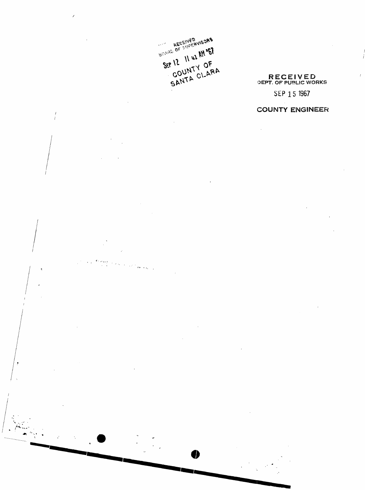**CONDERCEIVED WSORS** SEP 12 11 42 AM 067 SANTA CLARA

# RECEIVED<br>DEPT. OF PUBLIC WORKS

## SEP 15 1967

## **COUNTY ENGINEER**

 $\frac{1}{2}$  , and  $\frac{1}{2}$  ,  $\frac{1}{2}$ 

 $\overline{1}$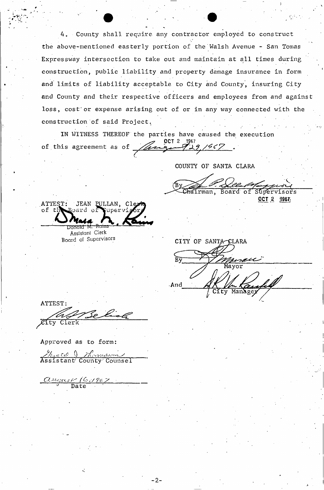4. County shall require, any contractor employed to construct the above-mentioned easterly portion of the Walsh Avenue - San Tomas Expressway intersection to take out and maintain at all times during construction, public liability and property damage insurance in form and limits of liability acceptable to City and County, insuring City and County and their respective officers and employees from and against loss, cost'or expense arising out of or in any way connected with the construction of said Project.

IN WITNESS THEREOF the parties have caused the execution  $OCT 2 1967$ of this agreement as of

/

COUNTY OF SANTA CLARA

Ghairman, Board of Supervisors OCT 2 1967

ATTEST: JEAN PULLAN, Cley<br>of the Board of Supervison oard of Supervison Donald M

Assistant Clerk Board of Supervisors

CITY OF SANTA-CLARA By Mercu Mayor .And Manage

ATTEST: City Clerk

Approved as to form

*Ci*   $\mathbb{Z}_{q}$  a C(0 ) This makes Assistant^ County' Counsel

yu*'./^ f'G / / fc^ y*  Date